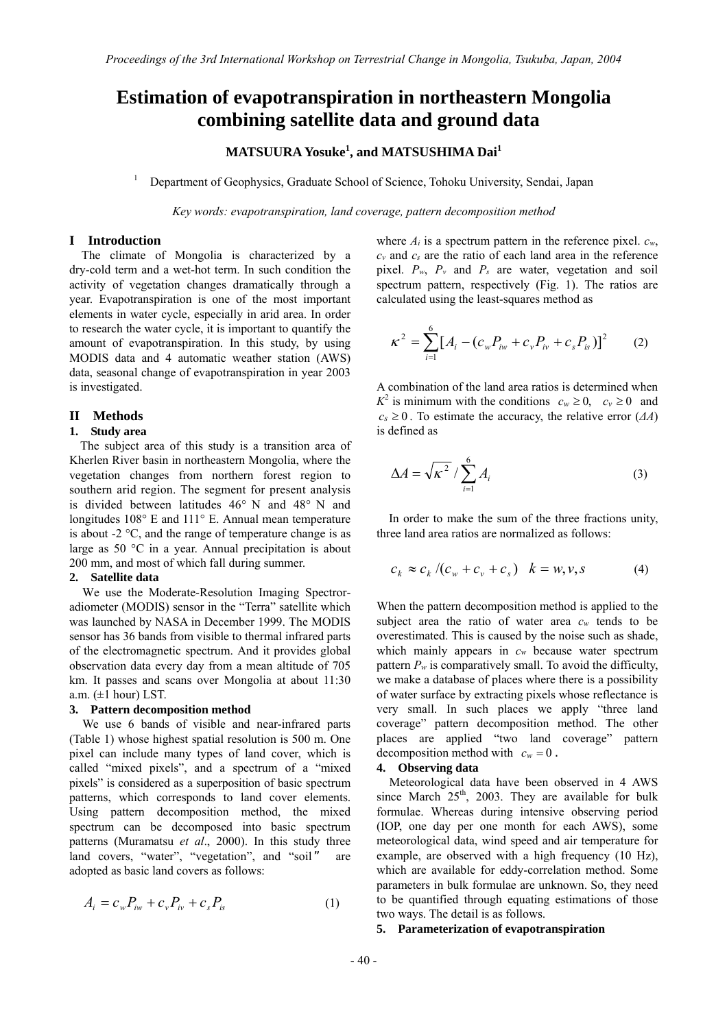# **Estimation of evapotranspiration in northeastern Mongolia combining satellite data and ground data**

# **MATSUURA Yosuke1 , and MATSUSHIMA Dai1**

1 Department of Geophysics, Graduate School of Science, Tohoku University, Sendai, Japan

*Key words: evapotranspiration, land coverage, pattern decomposition method* 

# **I Introduction**

The climate of Mongolia is characterized by a dry-cold term and a wet-hot term. In such condition the activity of vegetation changes dramatically through a year. Evapotranspiration is one of the most important elements in water cycle, especially in arid area. In order to research the water cycle, it is important to quantify the amount of evapotranspiration. In this study, by using MODIS data and 4 automatic weather station (AWS) data, seasonal change of evapotranspiration in year 2003 is investigated.

## **II Methods**

### **1. Study area**

The subject area of this study is a transition area of Kherlen River basin in northeastern Mongolia, where the vegetation changes from northern forest region to southern arid region. The segment for present analysis is divided between latitudes 46° N and 48° N and longitudes 108° E and 111° E. Annual mean temperature is about -2 °C, and the range of temperature change is as large as 50 °C in a year. Annual precipitation is about 200 mm, and most of which fall during summer.

### **2. Satellite data**

We use the Moderate-Resolution Imaging Spectroradiometer (MODIS) sensor in the "Terra" satellite which was launched by NASA in December 1999. The MODIS sensor has 36 bands from visible to thermal infrared parts of the electromagnetic spectrum. And it provides global observation data every day from a mean altitude of 705 km. It passes and scans over Mongolia at about 11:30 a.m.  $(\pm 1$  hour) LST.

# **3. Pattern decomposition method**

We use 6 bands of visible and near-infrared parts (Table 1) whose highest spatial resolution is 500 m. One pixel can include many types of land cover, which is called "mixed pixels", and a spectrum of a "mixed pixels" is considered as a superposition of basic spectrum patterns, which corresponds to land cover elements. Using pattern decomposition method, the mixed spectrum can be decomposed into basic spectrum patterns (Muramatsu *et al*., 2000). In this study three land covers, "water", "vegetation", and "soil" are adopted as basic land covers as follows:

$$
A_i = c_w P_{iw} + c_v P_{iv} + c_s P_{is}
$$
 (1)

where  $A_i$  is a spectrum pattern in the reference pixel.  $c_w$ , *cv* and *cs* are the ratio of each land area in the reference pixel. *Pw*, *Pv* and *Ps* are water, vegetation and soil spectrum pattern, respectively (Fig. 1). The ratios are calculated using the least-squares method as

$$
\kappa^2 = \sum_{i=1}^{6} [A_i - (c_w P_{iw} + c_v P_{iv} + c_s P_{is})]^2
$$
 (2)

A combination of the land area ratios is determined when  $K^2$  is minimum with the conditions  $c_w \ge 0$ ,  $c_v \ge 0$  and  $c_s \geq 0$ . To estimate the accuracy, the relative error ( $\Delta A$ ) is defined as

$$
\Delta A = \sqrt{\kappa^2} / \sum_{i=1}^{6} A_i
$$
 (3)

In order to make the sum of the three fractions unity, three land area ratios are normalized as follows:

$$
c_k \approx c_k / (c_w + c_v + c_s) \quad k = w, v, s \tag{4}
$$

When the pattern decomposition method is applied to the subject area the ratio of water area *cw* tends to be overestimated. This is caused by the noise such as shade, which mainly appears in  $c_w$  because water spectrum pattern  $P_w$  is comparatively small. To avoid the difficulty, we make a database of places where there is a possibility of water surface by extracting pixels whose reflectance is very small. In such places we apply "three land coverage" pattern decomposition method. The other places are applied "two land coverage" pattern decomposition method with  $c_w = 0$ .

# **4. Observing data**

Meteorological data have been observed in 4 AWS since March  $25<sup>th</sup>$ , 2003. They are available for bulk formulae. Whereas during intensive observing period (IOP, one day per one month for each AWS), some meteorological data, wind speed and air temperature for example, are observed with a high frequency (10 Hz), which are available for eddy-correlation method. Some parameters in bulk formulae are unknown. So, they need to be quantified through equating estimations of those two ways. The detail is as follows.

# **5. Parameterization of evapotranspiration**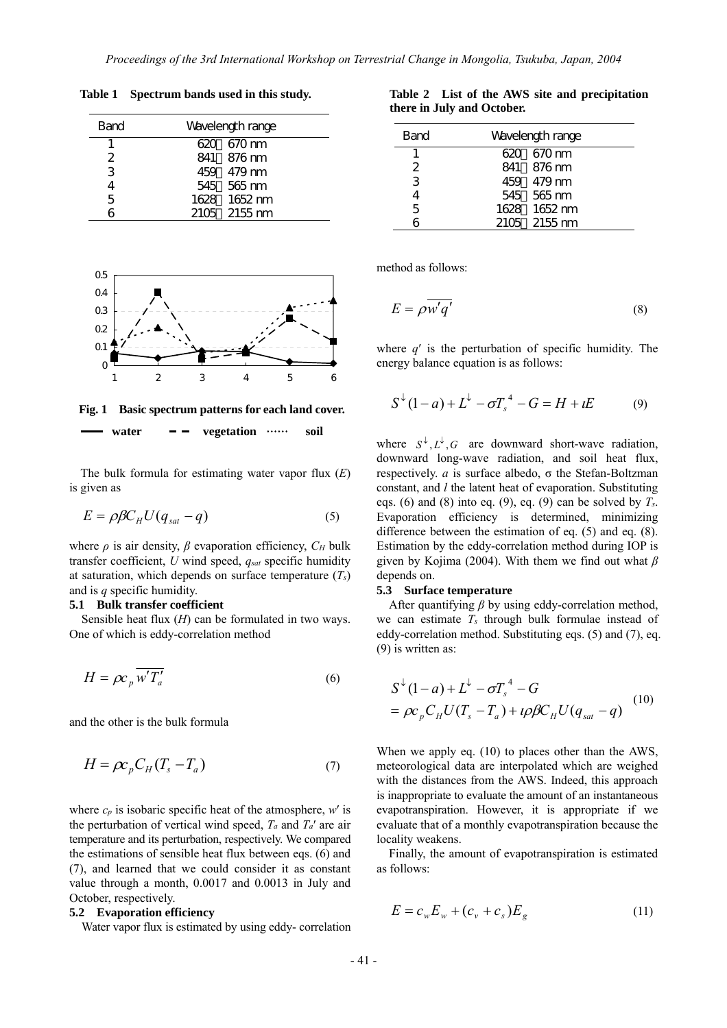**Table 1 Spectrum bands used in this study.**

| Band | Wavelength range |  |  |  |  |
|------|------------------|--|--|--|--|
| 1.   | 620 670 nm       |  |  |  |  |
| 2    | 841 876 nm       |  |  |  |  |
| 3    | 459 479 nm       |  |  |  |  |
| 4    | 545 565 nm       |  |  |  |  |
| 5    | 1628 1652 nm     |  |  |  |  |
|      | $2105 - 2155$ nm |  |  |  |  |



**Fig. 1 Basic spectrum patterns for each land cover.**

water  $--$  vegetation  $\cdots$  soil

The bulk formula for estimating water vapor flux (*E*) is given as

$$
E = \rho \beta C_H U (q_{sat} - q) \tag{5}
$$

where  $\rho$  is air density,  $\beta$  evaporation efficiency,  $C_H$  bulk transfer coefficient, *U* wind speed, *qsat* specific humidity at saturation, which depends on surface temperature (*Ts*) and is *q* specific humidity.

#### **5.1 Bulk transfer coefficient**

Sensible heat flux (*H*) can be formulated in two ways. One of which is eddy-correlation method

$$
H = \rho c_p \overline{w' T'_a} \tag{6}
$$

and the other is the bulk formula

$$
H = \rho c_p C_H (T_s - T_a) \tag{7}
$$

where  $c_p$  is isobaric specific heat of the atmosphere,  $w'$  is the perturbation of vertical wind speed,  $T_a$  and  $T_a'$  are air temperature and its perturbation, respectively. We compared the estimations of sensible heat flux between eqs. (6) and (7), and learned that we could consider it as constant value through a month, 0.0017 and 0.0013 in July and October, respectively.

#### **5.2 Evaporation efficiency**

Water vapor flux is estimated by using eddy- correlation

|                            |  |  | Table 2 List of the AWS site and precipitation |
|----------------------------|--|--|------------------------------------------------|
| there in July and October. |  |  |                                                |

| <b>Band</b>   | Wavelength range |  |  |  |  |
|---------------|------------------|--|--|--|--|
|               | 620 670 nm       |  |  |  |  |
| $\mathcal{P}$ | 841 876 nm       |  |  |  |  |
| 3             | 459 479 nm       |  |  |  |  |
| 4             | 545 565 nm       |  |  |  |  |
| 5             | 1628 1652 nm     |  |  |  |  |
| 6             | 2105 2155 nm     |  |  |  |  |

method as follows:

$$
E = \rho \overline{w'q'} \tag{8}
$$

where *q*′ is the perturbation of specific humidity. The energy balance equation is as follows:

$$
S^{\downarrow}(1-a) + L^{\downarrow} - \sigma T_s^4 - G = H + iE \tag{9}
$$

where  $S^{\downarrow}, L^{\downarrow}, G$  are downward short-wave radiation, downward long-wave radiation, and soil heat flux, respectively. *a* is surface albedo, σ the Stefan-Boltzman constant, and *l* the latent heat of evaporation. Substituting eqs. (6) and (8) into eq. (9), eq. (9) can be solved by  $T_s$ . Evaporation efficiency is determined, minimizing difference between the estimation of eq. (5) and eq. (8). Estimation by the eddy-correlation method during IOP is given by Kojima (2004). With them we find out what *β* depends on.

#### **5.3 Surface temperature**

After quantifying *β* by using eddy-correlation method, we can estimate *Ts* through bulk formulae instead of eddy-correlation method. Substituting eqs. (5) and (7), eq. (9) is written as:

$$
S^{\downarrow}(1-a) + L^{\downarrow} - \sigma T_s^4 - G
$$
  
=  $\rho c_p C_H U (T_s - T_a) + \iota \rho \beta C_H U (q_{sat} - q)$  (10)

When we apply eq. (10) to places other than the AWS, meteorological data are interpolated which are weighed with the distances from the AWS. Indeed, this approach is inappropriate to evaluate the amount of an instantaneous evapotranspiration. However, it is appropriate if we evaluate that of a monthly evapotranspiration because the locality weakens.

Finally, the amount of evapotranspiration is estimated as follows:

$$
E = c_w E_w + (c_v + c_s) E_g \tag{11}
$$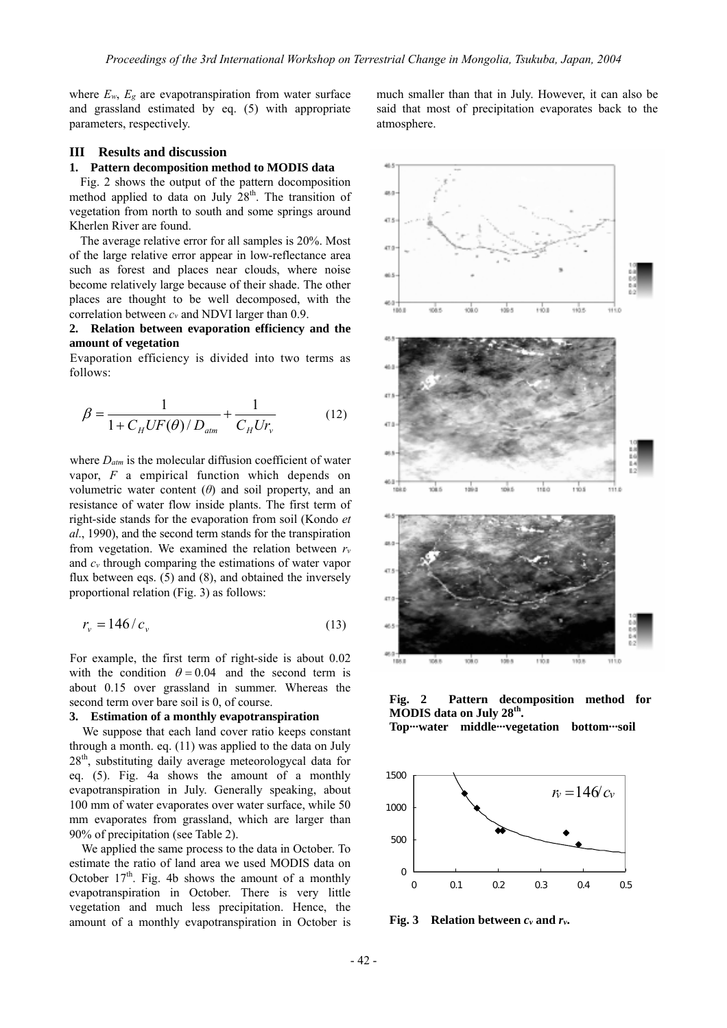where  $E_w$ ,  $E_g$  are evapotranspiration from water surface and grassland estimated by eq. (5) with appropriate parameters, respectively.

# **III Results and discussion**

# **1. Pattern decomposition method to MODIS data**

Fig. 2 shows the output of the pattern docomposition method applied to data on July  $28<sup>th</sup>$ . The transition of vegetation from north to south and some springs around Kherlen River are found.

The average relative error for all samples is 20%. Most of the large relative error appear in low-reflectance area such as forest and places near clouds, where noise become relatively large because of their shade. The other places are thought to be well decomposed, with the correlation between *cv* and NDVI larger than 0.9.

# **2. Relation between evaporation efficiency and the amount of vegetation**

Evaporation efficiency is divided into two terms as follows:

$$
\beta = \frac{1}{1 + C_H U F(\theta) / D_{atm}} + \frac{1}{C_H U r_v}
$$
(12)

where  $D_{atm}$  is the molecular diffusion coefficient of water vapor, *F* a empirical function which depends on volumetric water content  $(\theta)$  and soil property, and an resistance of water flow inside plants. The first term of right-side stands for the evaporation from soil (Kondo *et al*., 1990), and the second term stands for the transpiration from vegetation. We examined the relation between *rv* and *cv* through comparing the estimations of water vapor flux between eqs. (5) and (8), and obtained the inversely proportional relation (Fig. 3) as follows:

$$
r_v = 146/c_v \tag{13}
$$

For example, the first term of right-side is about 0.02 with the condition  $\theta = 0.04$  and the second term is about 0.15 over grassland in summer. Whereas the second term over bare soil is 0, of course.

# **3. Estimation of a monthly evapotranspiration**

We suppose that each land cover ratio keeps constant through a month. eq. (11) was applied to the data on July 28<sup>th</sup>, substituting daily average meteorologycal data for eq. (5). Fig. 4a shows the amount of a monthly evapotranspiration in July. Generally speaking, about 100 mm of water evaporates over water surface, while 50 mm evaporates from grassland, which are larger than 90% of precipitation (see Table 2).

We applied the same process to the data in October. To estimate the ratio of land area we used MODIS data on October  $17<sup>th</sup>$ . Fig. 4b shows the amount of a monthly evapotranspiration in October. There is very little vegetation and much less precipitation. Hence, the amount of a monthly evapotranspiration in October is

much smaller than that in July. However, it can also be said that most of precipitation evaporates back to the atmosphere.



**Fig. 2 Pattern decomposition method for MODIS data on July 28th.** 

**Top···water middle···vegetation bottom···soil** 



**Fig. 3 Relation between** *cv* **and** *rv***.**